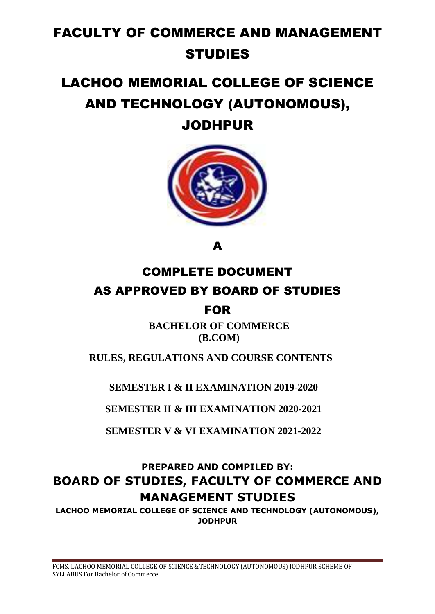# FACULTY OF COMMERCE AND MANAGEMENT STUDIES

## LACHOO MEMORIAL COLLEGE OF SCIENCE AND TECHNOLOGY (AUTONOMOUS), JODHPUR

A

## COMPLETE DOCUMENT AS APPROVED BY BOARD OF STUDIES FOR

**BACHELOR OF COMMERCE (B.COM)**

 **RULES, REGULATIONS AND COURSE CONTENTS**

**SEMESTER I & II EXAMINATION 2019-2020**

**SEMESTER II & III EXAMINATION 2020-2021**

**SEMESTER V & VI EXAMINATION 2021-2022**

## **PREPARED AND COMPILED BY: BOARD OF STUDIES, FACULTY OF COMMERCE AND MANAGEMENT STUDIES**

**LACHOO MEMORIAL COLLEGE OF SCIENCE AND TECHNOLOGY (AUTONOMOUS), JODHPUR**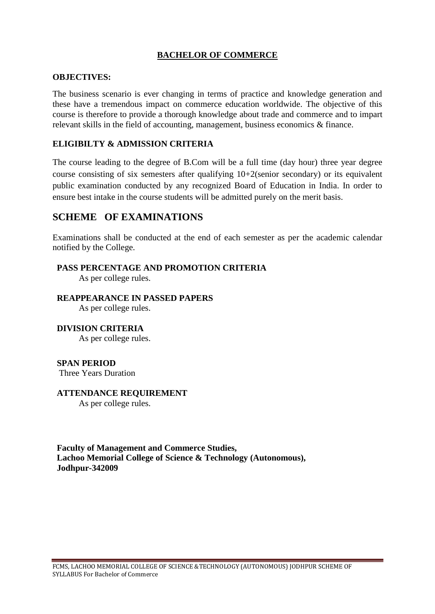### **BACHELOR OF COMMERCE**

#### **OBJECTIVES:**

The business scenario is ever changing in terms of practice and knowledge generation and these have a tremendous impact on commerce education worldwide. The objective of this course is therefore to provide a thorough knowledge about trade and commerce and to impart relevant skills in the field of accounting, management, business economics & finance.

#### **ELIGIBILTY & ADMISSION CRITERIA**

The course leading to the degree of B.Com will be a full time (day hour) three year degree course consisting of six semesters after qualifying 10+2(senior secondary) or its equivalent public examination conducted by any recognized Board of Education in India. In order to ensure best intake in the course students will be admitted purely on the merit basis.

### **SCHEME OF EXAMINATIONS**

Examinations shall be conducted at the end of each semester as per the academic calendar notified by the College.

#### **PASS PERCENTAGE AND PROMOTION CRITERIA**

As per college rules.

#### **REAPPEARANCE IN PASSED PAPERS**

As per college rules.

#### **DIVISION CRITERIA**

As per college rules.

#### **SPAN PERIOD**

Three Years Duration

#### **ATTENDANCE REQUIREMENT**

As per college rules.

**Faculty of Management and Commerce Studies, Lachoo Memorial College of Science & Technology (Autonomous), Jodhpur-342009**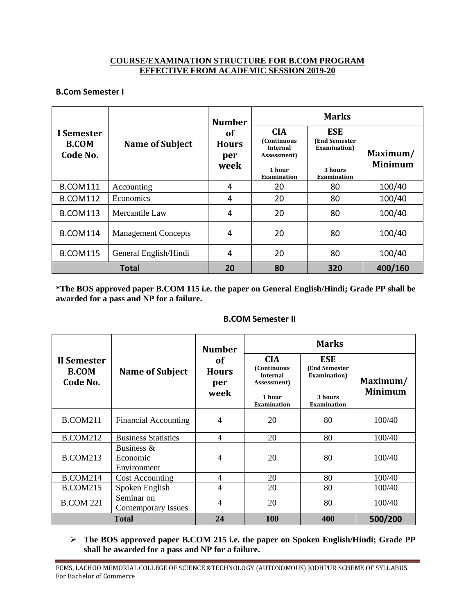#### **COURSE/EXAMINATION STRUCTURE FOR B.COM PROGRAM EFFECTIVE FROM ACADEMIC SESSION 2019-20**

#### **B.Com Semester I**

|                                        | <b>Name of Subject</b>     | <b>Number</b><br><b>of</b><br><b>Hours</b><br>per<br>week | <b>Marks</b>                                                                                |                                                                                      |                            |  |
|----------------------------------------|----------------------------|-----------------------------------------------------------|---------------------------------------------------------------------------------------------|--------------------------------------------------------------------------------------|----------------------------|--|
| I Semester<br><b>B.COM</b><br>Code No. |                            |                                                           | <b>CIA</b><br>(Continuous<br><b>Internal</b><br>Assessment)<br>1 hour<br><b>Examination</b> | <b>ESE</b><br><b>(End Semester)</b><br>Examination)<br>3 hours<br><b>Examination</b> | Maximum/<br><b>Minimum</b> |  |
| <b>B.COM111</b>                        | Accounting                 | 4                                                         | 20                                                                                          | 80                                                                                   | 100/40                     |  |
| <b>B.COM112</b>                        | Economics                  | 4                                                         | 20                                                                                          | 80                                                                                   | 100/40                     |  |
| <b>B.COM113</b>                        | Mercantile Law             | 4                                                         | 20                                                                                          | 80                                                                                   | 100/40                     |  |
| <b>B.COM114</b>                        | <b>Management Concepts</b> | 4                                                         | 20                                                                                          | 80                                                                                   | 100/40                     |  |
| <b>B.COM115</b>                        | General English/Hindi      | 4                                                         | 20                                                                                          | 80                                                                                   | 100/40                     |  |
|                                        | <b>Total</b>               | 20                                                        | 80                                                                                          | 320                                                                                  | 400/160                    |  |

**\*The BOS approved paper B.COM 115 i.e. the paper on General English/Hindi; Grade PP shall be awarded for a pass and NP for a failure.**

#### **B.COM Semester II**

|                                         |                                          | <b>Number</b>                            | <b>Marks</b>                                                                                        |                                                                                     |                            |
|-----------------------------------------|------------------------------------------|------------------------------------------|-----------------------------------------------------------------------------------------------------|-------------------------------------------------------------------------------------|----------------------------|
| II Semester<br><b>B.COM</b><br>Code No. | <b>Name of Subject</b>                   | <b>of</b><br><b>Hours</b><br>per<br>week | <b>CIA</b><br><b>(Continuous)</b><br><b>Internal</b><br>Assessment)<br>1 hour<br><b>Examination</b> | <b>ESE</b><br><b>(End Semester</b><br>Examination)<br>3 hours<br><b>Examination</b> | Maximum/<br><b>Minimum</b> |
| <b>B.COM211</b>                         | Financial Accounting                     | 4                                        | 20                                                                                                  | 80                                                                                  | 100/40                     |
| <b>B.COM212</b>                         | <b>Business Statistics</b>               | 4                                        | 20                                                                                                  | 80                                                                                  | 100/40                     |
| <b>B.COM213</b>                         | Business $\&$<br>Economic<br>Environment | 4                                        | 20                                                                                                  | 80                                                                                  | 100/40                     |
| <b>B.COM214</b>                         | <b>Cost Accounting</b>                   | 4                                        | 20                                                                                                  | 80                                                                                  | 100/40                     |
| <b>B.COM215</b>                         | Spoken English                           | 4                                        | 20                                                                                                  | 80                                                                                  | 100/40                     |
| <b>B.COM 221</b>                        | Seminar on<br>Contemporary Issues        | 4                                        | 20                                                                                                  | 80                                                                                  | 100/40                     |
| Total                                   |                                          | 24                                       | <b>100</b>                                                                                          | 400                                                                                 | 500/200                    |

 **The BOS approved paper B.COM 215 i.e. the paper on Spoken English/Hindi; Grade PP shall be awarded for a pass and NP for a failure.**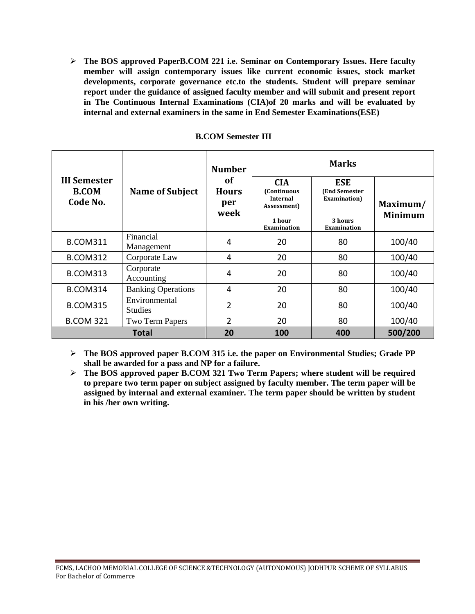**The BOS approved PaperB.COM 221 i.e. Seminar on Contemporary Issues. Here faculty member will assign contemporary issues like current economic issues, stock market developments, corporate governance etc.to the students. Student will prepare seminar report under the guidance of assigned faculty member and will submit and present report in The Continuous Internal Examinations (CIA)of 20 marks and will be evaluated by internal and external examiners in the same in End Semester Examinations(ESE)**

|                                                 | <b>Name of Subject</b>          | <b>Number</b><br>of<br><b>Hours</b><br>per<br>week | <b>Marks</b>                                                        |                                                     |                            |  |
|-------------------------------------------------|---------------------------------|----------------------------------------------------|---------------------------------------------------------------------|-----------------------------------------------------|----------------------------|--|
| <b>III Semester</b><br><b>B.COM</b><br>Code No. |                                 |                                                    | <b>CIA</b><br><b>(Continuous)</b><br><b>Internal</b><br>Assessment) | <b>ESE</b><br><b>(End Semester)</b><br>Examination) | Maximum/<br><b>Minimum</b> |  |
|                                                 |                                 |                                                    | 1 hour<br>Examination                                               | 3 hours<br>Examination                              |                            |  |
| <b>B.COM311</b>                                 | Financial<br>Management         | 4                                                  | 20                                                                  | 80                                                  | 100/40                     |  |
| <b>B.COM312</b>                                 | Corporate Law                   | 4                                                  | 20                                                                  | 80                                                  | 100/40                     |  |
| <b>B.COM313</b>                                 | Corporate<br>Accounting         | 4                                                  | 20                                                                  | 80                                                  | 100/40                     |  |
| <b>B.COM314</b>                                 | <b>Banking Operations</b>       | 4                                                  | 20                                                                  | 80                                                  | 100/40                     |  |
| <b>B.COM315</b>                                 | Environmental<br><b>Studies</b> | $\overline{2}$                                     | 20                                                                  | 80                                                  | 100/40                     |  |
| <b>B.COM 321</b>                                | Two Term Papers                 | $\overline{2}$                                     | 20                                                                  | 80                                                  | 100/40                     |  |
| Total                                           |                                 | 20                                                 | 100                                                                 | 400                                                 | 500/200                    |  |

#### **B.COM Semester III**

 **The BOS approved paper B.COM 315 i.e. the paper on Environmental Studies; Grade PP shall be awarded for a pass and NP for a failure.**

 **The BOS approved paper B.COM 321 Two Term Papers; where student will be required to prepare two term paper on subject assigned by faculty member. The term paper will be assigned by internal and external examiner. The term paper should be written by student in his /her own writing.**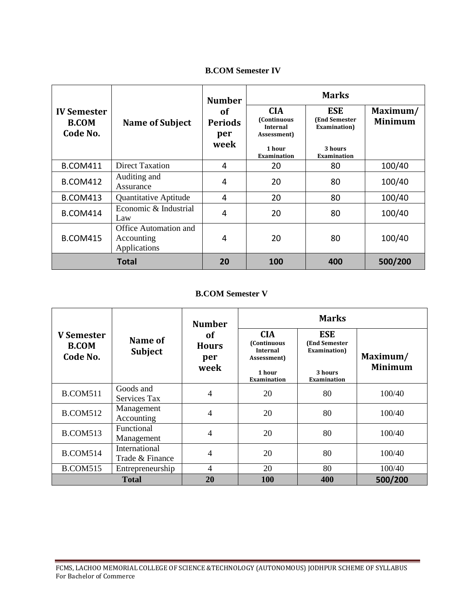#### **B.COM Semester IV**

|                                                |                                                            | <b>Number</b>                       | <b>Marks</b>                                                        |                                                     |                            |
|------------------------------------------------|------------------------------------------------------------|-------------------------------------|---------------------------------------------------------------------|-----------------------------------------------------|----------------------------|
| <b>IV Semester</b><br><b>B.COM</b><br>Code No. | <b>Name of Subject</b>                                     | <b>of</b><br>Periods<br>per<br>week | <b>CIA</b><br><b>(Continuous)</b><br><b>Internal</b><br>Assessment) | <b>ESE</b><br><b>(End Semester)</b><br>Examination) | Maximum/<br><b>Minimum</b> |
|                                                |                                                            |                                     | 1 hour<br><b>Examination</b>                                        | 3 hours<br><b>Examination</b>                       |                            |
| <b>B.COM411</b>                                | Direct Taxation                                            | 4                                   | 20                                                                  | 80                                                  | 100/40                     |
| <b>B.COM412</b>                                | Auditing and<br>Assurance                                  | 4                                   | 20                                                                  | 80                                                  | 100/40                     |
| <b>B.COM413</b>                                | Quantitative Aptitude                                      | 4                                   | 20                                                                  | 80                                                  | 100/40                     |
| <b>B.COM414</b>                                | Economic & Industrial<br>Law                               | 4                                   | 20                                                                  | 80                                                  | 100/40                     |
| <b>B.COM415</b>                                | <b>Office Automation and</b><br>Accounting<br>Applications | 4                                   | 20                                                                  | 80                                                  | 100/40                     |
|                                                | <b>Total</b>                                               | 20                                  | 100                                                                 | 400                                                 | 500/200                    |

#### **B.COM Semester V**

|                                        |                                  | <b>Number</b>                     | <b>Marks</b>                                                        |                                                     |                            |  |
|----------------------------------------|----------------------------------|-----------------------------------|---------------------------------------------------------------------|-----------------------------------------------------|----------------------------|--|
| V Semester<br><b>B.COM</b><br>Code No. | Name of<br><b>Subject</b>        | of<br><b>Hours</b><br>per<br>week | <b>CIA</b><br><b>(Continuous)</b><br><b>Internal</b><br>Assessment) | <b>ESE</b><br><b>(End Semester)</b><br>Examination) | Maximum/<br><b>Minimum</b> |  |
|                                        |                                  |                                   | 1 hour<br><b>Examination</b>                                        | 3 hours<br><b>Examination</b>                       |                            |  |
| <b>B.COM511</b>                        | Goods and<br>Services Tax        | 4                                 | 20                                                                  | 80                                                  | 100/40                     |  |
| <b>B.COM512</b>                        | Management<br>Accounting         | 4                                 | 20                                                                  | 80                                                  | 100/40                     |  |
| <b>B.COM513</b>                        | <b>Functional</b><br>Management  | 4                                 | 20                                                                  | 80                                                  | 100/40                     |  |
| <b>B.COM514</b>                        | International<br>Trade & Finance | 4                                 | 20                                                                  | 80                                                  | 100/40                     |  |
| <b>B.COM515</b>                        | Entrepreneurship                 | $\overline{4}$                    | 20                                                                  | 80                                                  | 100/40                     |  |
| <b>Total</b>                           |                                  | 20                                | 100                                                                 | 400                                                 | 500/200                    |  |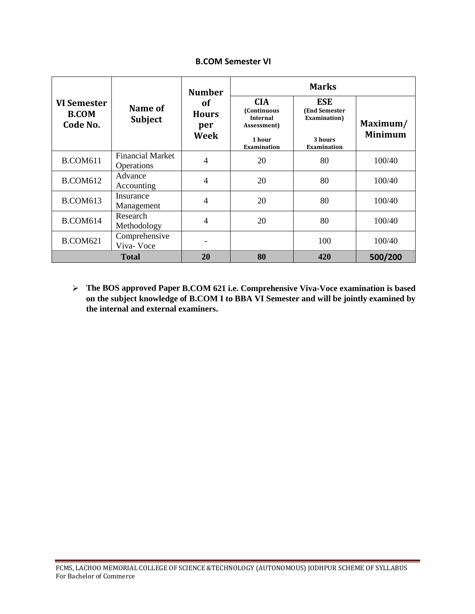#### **B.COM Semester VI**

|                                         |                                       | <b>Number</b>                            | <b>Marks</b>                                                                                       |                                                                                      |                            |  |
|-----------------------------------------|---------------------------------------|------------------------------------------|----------------------------------------------------------------------------------------------------|--------------------------------------------------------------------------------------|----------------------------|--|
| VI Semester<br><b>B.COM</b><br>Code No. | Name of<br><b>Subject</b>             | of<br><b>Hours</b><br>per<br><b>Week</b> | <b>CIA</b><br><b>(Continuous</b><br><b>Internal</b><br>Assessment)<br>1 hour<br><b>Examination</b> | <b>ESE</b><br><b>(End Semester)</b><br>Examination)<br>3 hours<br><b>Examination</b> | Maximum/<br><b>Minimum</b> |  |
| <b>B.COM611</b>                         | <b>Financial Market</b><br>Operations | 4                                        | 20                                                                                                 | 80                                                                                   | 100/40                     |  |
| <b>B.COM612</b>                         | Advance<br>Accounting                 | $\overline{4}$                           | 20                                                                                                 | 80                                                                                   | 100/40                     |  |
| <b>B.COM613</b>                         | Insurance<br>Management               | 4                                        | 20                                                                                                 | 80                                                                                   | 100/40                     |  |
| <b>B.COM614</b>                         | Research<br>Methodology               | 4                                        | 20                                                                                                 | 80                                                                                   | 100/40                     |  |
| <b>B.COM621</b>                         | Comprehensive<br>Viva-Voce            |                                          |                                                                                                    | 100                                                                                  | 100/40                     |  |
|                                         | <b>Total</b>                          | 20                                       | 80                                                                                                 | 420                                                                                  | 500/200                    |  |

 **The BOS approved Paper B.COM 621 i.e. Comprehensive Viva-Voce examination is based on the subject knowledge of B.COM I to BBA VI Semester and will be jointly examined by the internal and external examiners.**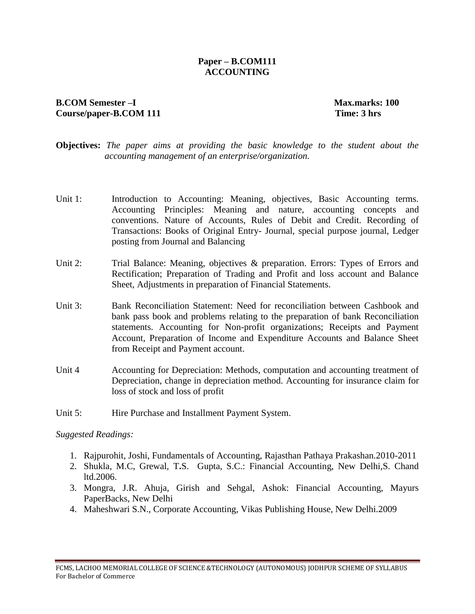#### **Paper – B.COM111 ACCOUNTING**

#### **B.COM** Semester –I Max.marks: 100 **Course/paper-B.COM 111 Time: 3 hrs**

- **Objectives:** *The paper aims at providing the basic knowledge to the student about the accounting management of an enterprise/organization.*
- Unit 1: Introduction to Accounting: Meaning, objectives, Basic Accounting terms. Accounting Principles: Meaning and nature, accounting concepts and conventions. Nature of Accounts, Rules of Debit and Credit. Recording of Transactions: Books of Original Entry- Journal, special purpose journal, Ledger posting from Journal and Balancing
- Unit 2: Trial Balance: Meaning, objectives & preparation. Errors: Types of Errors and Rectification; Preparation of Trading and Profit and loss account and Balance Sheet, Adjustments in preparation of Financial Statements.
- Unit 3: Bank Reconciliation Statement: Need for reconciliation between Cashbook and bank pass book and problems relating to the preparation of bank Reconciliation statements. Accounting for Non-profit organizations; Receipts and Payment Account, Preparation of Income and Expenditure Accounts and Balance Sheet from Receipt and Payment account.
- Unit 4 Accounting for Depreciation: Methods, computation and accounting treatment of Depreciation, change in depreciation method. Accounting for insurance claim for loss of stock and loss of profit
- Unit 5: Hire Purchase and Installment Payment System.

- 1. Rajpurohit, Joshi, Fundamentals of Accounting, Rajasthan Pathaya Prakashan.2010-2011
- 2. Shukla, M.C, Grewal, T**.**S. Gupta, S.C.: Financial Accounting, New Delhi,S. Chand ltd.2006.
- 3. Mongra, J.R. Ahuja, Girish and Sehgal, Ashok: Financial Accounting, Mayurs PaperBacks, New Delhi
- 4. Maheshwari S.N., Corporate Accounting, Vikas Publishing House, New Delhi.2009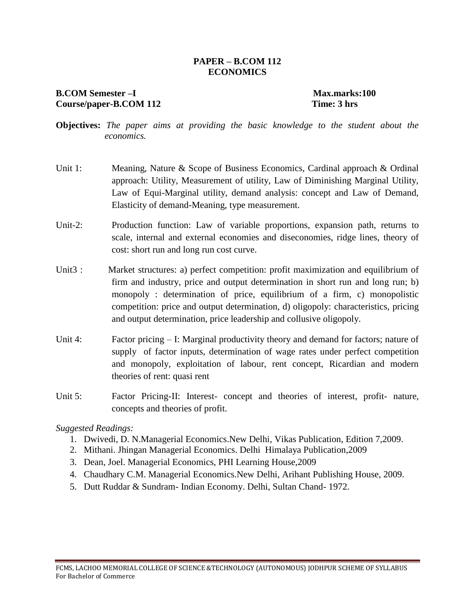#### **PAPER – B.COM 112 ECONOMICS**

### **B.COM Semester –I Max.marks:100** Course/paper-B.COM 112 Time: 3 hrs

- **Objectives:** *The paper aims at providing the basic knowledge to the student about the economics.*
- Unit 1: Meaning, Nature & Scope of Business Economics, Cardinal approach & Ordinal approach: Utility, Measurement of utility, Law of Diminishing Marginal Utility, Law of Equi-Marginal utility, demand analysis: concept and Law of Demand, Elasticity of demand-Meaning, type measurement.
- Unit-2: Production function: Law of variable proportions, expansion path, returns to scale, internal and external economies and diseconomies, ridge lines, theory of cost: short run and long run cost curve.
- Unit3 : Market structures: a) perfect competition: profit maximization and equilibrium of firm and industry, price and output determination in short run and long run; b) monopoly : determination of price, equilibrium of a firm, c) monopolistic competition: price and output determination, d) oligopoly: characteristics, pricing and output determination, price leadership and collusive oligopoly.
- Unit 4: Factor pricing I: Marginal productivity theory and demand for factors; nature of supply of factor inputs, determination of wage rates under perfect competition and monopoly, exploitation of labour, rent concept, Ricardian and modern theories of rent: quasi rent
- Unit 5: Factor Pricing-II: Interest- concept and theories of interest, profit- nature, concepts and theories of profit.

- 1. Dwivedi, D. N.Managerial Economics.New Delhi, Vikas Publication, Edition 7,2009.
- 2. Mithani. Jhingan Managerial Economics. Delhi Himalaya Publication,2009
- 3. Dean, Joel. Managerial Economics, PHI Learning House,2009
- 4. Chaudhary C.M. Managerial Economics.New Delhi, Arihant Publishing House, 2009.
- 5. Dutt Ruddar & Sundram- Indian Economy. Delhi, Sultan Chand- 1972.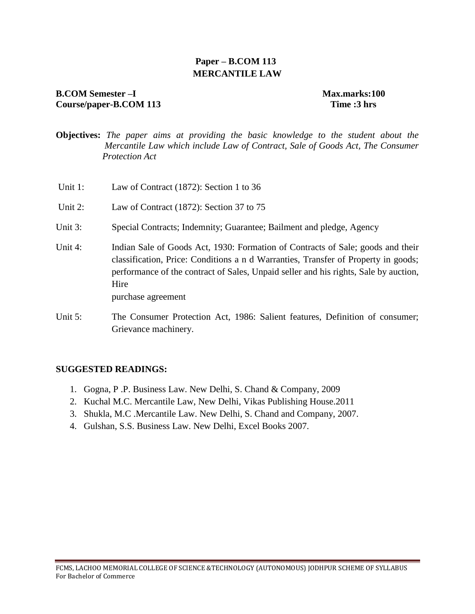### **Paper – B.COM 113 MERCANTILE LAW**

### **B.COM Semester –I Max.marks:100 Course/paper-B.COM 113 Time :3 hrs**

- **Objectives:** *The paper aims at providing the basic knowledge to the student about the Mercantile Law which include Law of Contract, Sale of Goods Act, The Consumer Protection Act*
- Unit 1: Law of Contract (1872): Section 1 to 36
- Unit 2: Law of Contract (1872): Section 37 to 75
- Unit 3: Special Contracts; Indemnity; Guarantee; Bailment and pledge, Agency
- Unit 4: Indian Sale of Goods Act, 1930: Formation of Contracts of Sale; goods and their classification, Price: Conditions a n d Warranties, Transfer of Property in goods; performance of the contract of Sales, Unpaid seller and his rights, Sale by auction, Hire purchase agreement
- Unit 5: The Consumer Protection Act, 1986: Salient features, Definition of consumer: Grievance machinery.

#### **SUGGESTED READINGS:**

- 1. Gogna, P .P. Business Law. New Delhi, S. Chand & Company, 2009
- 2. Kuchal M.C. Mercantile Law, New Delhi, Vikas Publishing House.2011
- 3. Shukla, M.C .Mercantile Law. New Delhi, S. Chand and Company, 2007.
- 4. Gulshan, S.S. Business Law. New Delhi, Excel Books 2007.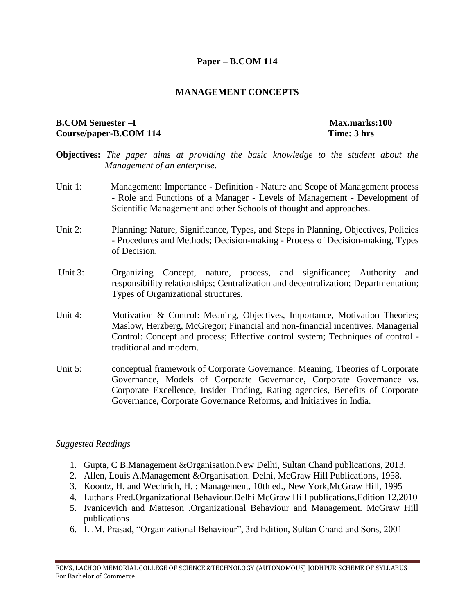#### **Paper – B.COM 114**

#### **MANAGEMENT CONCEPTS**

#### **B.COM** Semester –I Max.marks:100 **Course/paper-B.COM 114 Time: 3 hrs**

- **Objectives:** *The paper aims at providing the basic knowledge to the student about the Management of an enterprise.*
- Unit 1: Management: Importance Definition Nature and Scope of Management process - Role and Functions of a Manager - Levels of Management - Development of Scientific Management and other Schools of thought and approaches.
- Unit 2: Planning: Nature, Significance, Types, and Steps in Planning, Objectives, Policies - Procedures and Methods; Decision-making - Process of Decision-making, Types of Decision.
- Unit 3: Organizing Concept, nature, process, and significance; Authority and responsibility relationships; Centralization and decentralization; Departmentation; Types of Organizational structures.
- Unit 4: Motivation & Control: Meaning, Objectives, Importance, Motivation Theories; Maslow, Herzberg, McGregor; Financial and non-financial incentives, Managerial Control: Concept and process; Effective control system; Techniques of control traditional and modern.
- Unit 5: conceptual framework of Corporate Governance: Meaning, Theories of Corporate Governance, Models of Corporate Governance, Corporate Governance vs. Corporate Excellence, Insider Trading, Rating agencies, Benefits of Corporate Governance, Corporate Governance Reforms, and Initiatives in India.

- 1. Gupta, C B.Management &Organisation.New Delhi, Sultan Chand publications, 2013.
- 2. Allen, Louis A.Management &Organisation. Delhi, McGraw Hill Publications, 1958.
- 3. Koontz, H. and Wechrich, H. : Management, 10th ed., New York,McGraw Hill, 1995
- 4. Luthans Fred.Organizational Behaviour.Delhi McGraw Hill publications,Edition 12,2010
- 5. Ivanicevich and Matteson .Organizational Behaviour and Management. McGraw Hill publications
- 6. L .M. Prasad, "Organizational Behaviour", 3rd Edition, Sultan Chand and Sons, 2001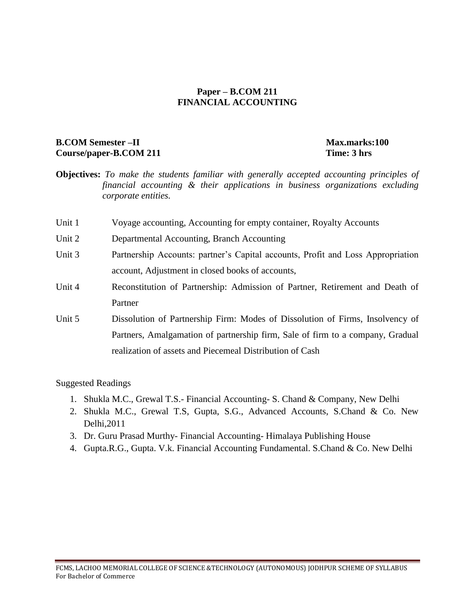#### **Paper – B.COM 211 FINANCIAL ACCOUNTING**

### **B.COM** Semester –II Max.marks:100 **Course/paper-B.COM 211 Time: 3 hrs**

- **Objectives:** *To make the students familiar with generally accepted accounting principles of financial accounting & their applications in business organizations excluding corporate entities.*
- Unit 1 Voyage accounting, Accounting for empty container, Royalty Accounts
- Unit 2 Departmental Accounting, Branch Accounting
- Unit 3 Partnership Accounts: partner's Capital accounts, Profit and Loss Appropriation account, Adjustment in closed books of accounts,
- Unit 4 Reconstitution of Partnership: Admission of Partner, Retirement and Death of Partner
- Unit 5 Dissolution of Partnership Firm: Modes of Dissolution of Firms, Insolvency of Partners, Amalgamation of partnership firm, Sale of firm to a company, Gradual realization of assets and Piecemeal Distribution of Cash

- 1. Shukla M.C., Grewal T.S.- Financial Accounting- S. Chand & Company, New Delhi
- 2. Shukla M.C., Grewal T.S, Gupta, S.G., Advanced Accounts, S.Chand & Co. New Delhi,2011
- 3. Dr. Guru Prasad Murthy- Financial Accounting- Himalaya Publishing House
- 4. Gupta.R.G., Gupta. V.k. Financial Accounting Fundamental. S.Chand & Co. New Delhi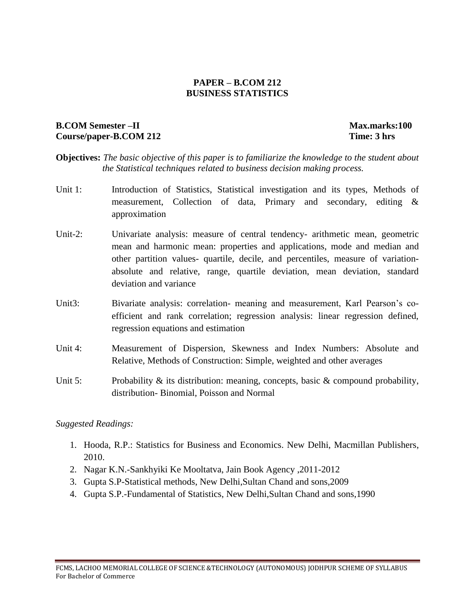#### **PAPER – B.COM 212 BUSINESS STATISTICS**

### **B.COM** Semester –II Max.marks:100 **Course/paper-B.COM 212 Time: 3 hrs**

- **Objectives:** *The basic objective of this paper is to familiarize the knowledge to the student about the Statistical techniques related to business decision making process.*
- Unit 1: Introduction of Statistics, Statistical investigation and its types, Methods of measurement, Collection of data, Primary and secondary, editing & approximation
- Unit-2: Univariate analysis: measure of central tendency- arithmetic mean, geometric mean and harmonic mean: properties and applications, mode and median and other partition values- quartile, decile, and percentiles, measure of variationabsolute and relative, range, quartile deviation, mean deviation, standard deviation and variance
- Unit3: Bivariate analysis: correlation- meaning and measurement, Karl Pearson's coefficient and rank correlation; regression analysis: linear regression defined, regression equations and estimation
- Unit 4: Measurement of Dispersion, Skewness and Index Numbers: Absolute and Relative, Methods of Construction: Simple, weighted and other averages
- Unit 5: Probability  $\&$  its distribution: meaning, concepts, basic  $\&$  compound probability, distribution- Binomial, Poisson and Normal

- 1. Hooda, R.P.: Statistics for Business and Economics. New Delhi, Macmillan Publishers, 2010.
- 2. Nagar K.N.-Sankhyiki Ke Mooltatva, Jain Book Agency ,2011-2012
- 3. Gupta S.P-Statistical methods, New Delhi,Sultan Chand and sons,2009
- 4. Gupta S.P.-Fundamental of Statistics, New Delhi,Sultan Chand and sons,1990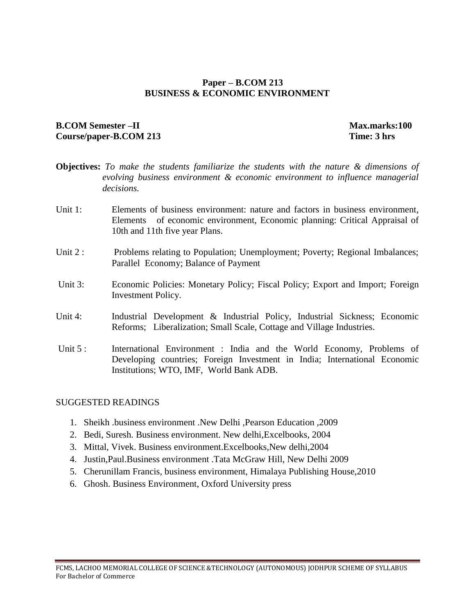#### **Paper – B.COM 213 BUSINESS & ECONOMIC ENVIRONMENT**

#### **B.COM** Semester –II Max.marks:100 **Course/paper-B.COM 213 Time: 3 hrs**

- **Objectives:** *To make the students familiarize the students with the nature & dimensions of evolving business environment & economic environment to influence managerial decisions.*
- Unit 1: Elements of business environment: nature and factors in business environment, Elements of economic environment, Economic planning: Critical Appraisal of 10th and 11th five year Plans.
- Unit 2 : Problems relating to Population; Unemployment; Poverty; Regional Imbalances; Parallel Economy; Balance of Payment
- Unit 3: Economic Policies: Monetary Policy; Fiscal Policy; Export and Import; Foreign Investment Policy.
- Unit 4: Industrial Development & Industrial Policy, Industrial Sickness; Economic Reforms; Liberalization; Small Scale, Cottage and Village Industries.
- Unit 5 : International Environment : India and the World Economy, Problems of Developing countries; Foreign Investment in India; International Economic Institutions; WTO, IMF, World Bank ADB.

#### SUGGESTED READINGS

- 1. Sheikh .business environment .New Delhi ,Pearson Education ,2009
- 2. Bedi, Suresh. Business environment. New delhi,Excelbooks, 2004
- 3. Mittal, Vivek. Business environment.Excelbooks,New delhi,2004
- 4. Justin,Paul.Business environment .Tata McGraw Hill, New Delhi 2009
- 5. Cherunillam Francis, business environment, Himalaya Publishing House,2010
- 6. Ghosh. Business Environment, Oxford University press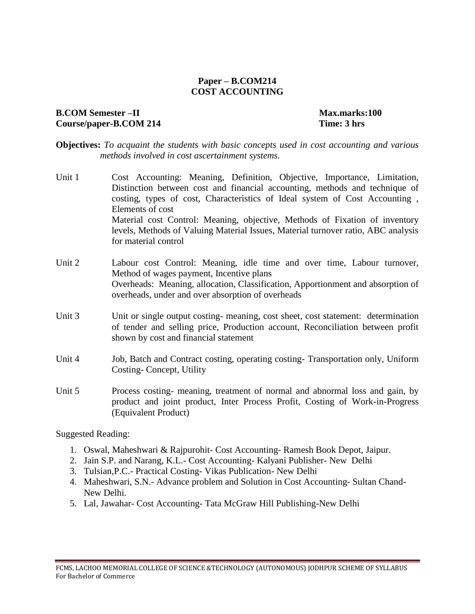#### **Paper – B.COM214 COST ACCOUNTING**

#### **B.COM Semester –II** Max.marks:100 **Course/paper-B.COM 214 Time: 3 hrs**

**Objectives:** *To acquaint the students with basic concepts used in cost accounting and various methods involved in cost ascertainment systems.*

- Unit 1 Cost Accounting: Meaning, Definition, Objective, Importance, Limitation, Distinction between cost and financial accounting, methods and technique of costing, types of cost, Characteristics of Ideal system of Cost Accounting , Elements of cost Material cost Control: Meaning, objective, Methods of Fixation of inventory levels, Methods of Valuing Material Issues, Material turnover ratio, ABC analysis for material control
- Unit 2 Labour cost Control: Meaning, idle time and over time, Labour turnover, Method of wages payment, Incentive plans Overheads: Meaning, allocation, Classification, Apportionment and absorption of overheads, under and over absorption of overheads
- Unit 3 Unit or single output costing-meaning, cost sheet, cost statement: determination of tender and selling price, Production account, Reconciliation between profit shown by cost and financial statement
- Unit 4 Job, Batch and Contract costing, operating costing- Transportation only, Uniform Costing- Concept, Utility
- Unit 5 Process costing- meaning, treatment of normal and abnormal loss and gain, by product and joint product, Inter Process Profit, Costing of Work-in-Progress (Equivalent Product)

- 1. Oswal, Maheshwari & Rajpurohit- Cost Accounting- Ramesh Book Depot, Jaipur.
- 2. Jain S.P. and Narang, K.L.- Cost Accounting- Kalyani Publisher- New Delhi
- 3. Tulsian,P.C.- Practical Costing- Vikas Publication- New Delhi
- 4. Maheshwari, S.N.- Advance problem and Solution in Cost Accounting- Sultan Chand-New Delhi.
- 5. Lal, Jawahar- Cost Accounting- Tata McGraw Hill Publishing-New Delhi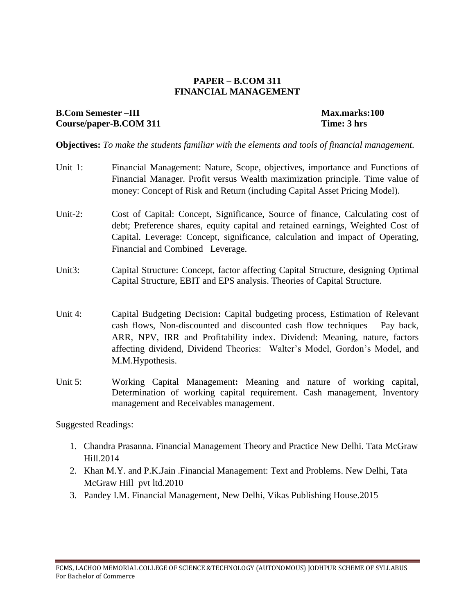#### **PAPER – B.COM 311 FINANCIAL MANAGEMENT**

#### **B.Com Semester –III** Max.marks:100 Course/paper-B.COM 311 Time: 3 hrs

**Objectives:** *To make the students familiar with the elements and tools of financial management.*

- Unit 1: Financial Management: Nature, Scope, objectives, importance and Functions of Financial Manager. Profit versus Wealth maximization principle. Time value of money: Concept of Risk and Return (including Capital Asset Pricing Model).
- Unit-2: Cost of Capital: Concept, Significance, Source of finance, Calculating cost of debt; Preference shares, equity capital and retained earnings, Weighted Cost of Capital. Leverage: Concept, significance, calculation and impact of Operating, Financial and Combined Leverage.
- Unit3: Capital Structure: Concept, factor affecting Capital Structure, designing Optimal Capital Structure, EBIT and EPS analysis. Theories of Capital Structure.
- Unit 4: Capital Budgeting Decision**:** Capital budgeting process, Estimation of Relevant cash flows, Non-discounted and discounted cash flow techniques – Pay back, ARR, NPV, IRR and Profitability index. Dividend: Meaning, nature, factors affecting dividend, Dividend Theories: Walter's Model, Gordon's Model, and M.M.Hypothesis.
- Unit 5: Working Capital Management**:** Meaning and nature of working capital, Determination of working capital requirement. Cash management, Inventory management and Receivables management.

- 1. Chandra Prasanna. Financial Management Theory and Practice New Delhi. Tata McGraw Hill.2014
- 2. Khan M.Y. and P.K.Jain .Financial Management: Text and Problems. New Delhi, Tata McGraw Hill pvt ltd.2010
- 3. Pandey I.M. Financial Management, New Delhi, Vikas Publishing House.2015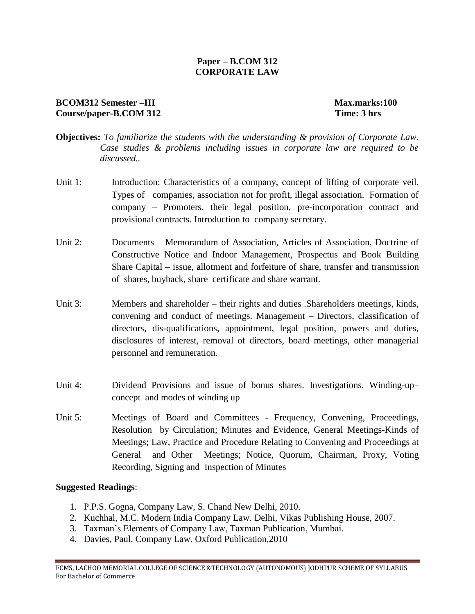#### **Paper – B.COM 312 CORPORATE LAW**

#### **BCOM312 Semester –III** Max.marks:100 **Course/paper-B.COM 312 Time: 3 hrs**

- **Objectives:** *To familiarize the students with the understanding & provision of Corporate Law. Case studies & problems including issues in corporate law are required to be discussed..*
- Unit 1: Introduction: Characteristics of a company, concept of lifting of corporate veil. Types of companies, association not for profit, illegal association. Formation of company – Promoters, their legal position, pre-incorporation contract and provisional contracts. Introduction to company secretary.
- Unit 2: Documents Memorandum of Association, Articles of Association, Doctrine of Constructive Notice and Indoor Management, Prospectus and Book Building Share Capital – issue, allotment and forfeiture of share, transfer and transmission of shares, buyback, share certificate and share warrant.
- Unit 3: Members and shareholder their rights and duties .Shareholders meetings, kinds, convening and conduct of meetings. Management – Directors, classification of directors, dis-qualifications, appointment, legal position, powers and duties, disclosures of interest, removal of directors, board meetings, other managerial personnel and remuneration.
- Unit 4: Dividend Provisions and issue of bonus shares. Investigations. Winding-up– concept and modes of winding up
- Unit 5: Meetings of Board and Committees Frequency, Convening, Proceedings, Resolution by Circulation; Minutes and Evidence, General Meetings-Kinds of Meetings; Law, Practice and Procedure Relating to Convening and Proceedings at General and Other Meetings; Notice, Quorum, Chairman, Proxy, Voting Recording, Signing and Inspection of Minutes

- 1. P.P.S. Gogna, Company Law, S. Chand New Delhi, 2010.
- 2. Kuchhal, M.C. Modern India Company Law. Delhi, Vikas Publishing House, 2007.
- 3. Taxman's Elements of Company Law, Taxman Publication, Mumbai.
- 4. Davies, Paul. Company Law. Oxford Publication,2010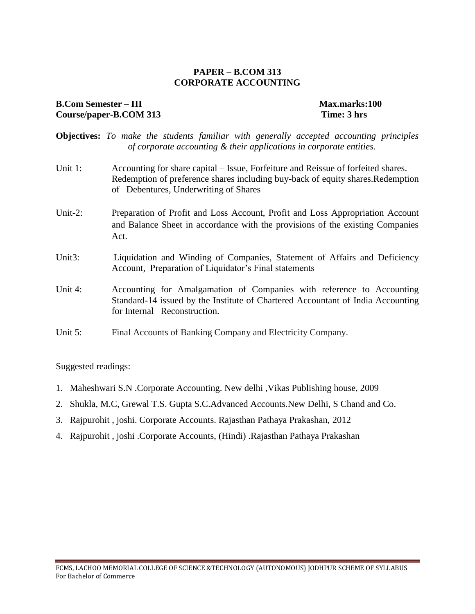#### **PAPER – B.COM 313 CORPORATE ACCOUNTING**

#### **B.Com Semester – III** Max.marks:100 Course/paper-B.COM 313 Time: 3 hrs

- **Objectives:** *To make the students familiar with generally accepted accounting principles of corporate accounting & their applications in corporate entities.*
- Unit 1: Accounting for share capital Issue, Forfeiture and Reissue of forfeited shares. Redemption of preference shares including buy-back of equity shares.Redemption of Debentures, Underwriting of Shares
- Unit-2: Preparation of Profit and Loss Account, Profit and Loss Appropriation Account and Balance Sheet in accordance with the provisions of the existing Companies Act.
- Unit3: Liquidation and Winding of Companies, Statement of Affairs and Deficiency Account, Preparation of Liquidator's Final statements
- Unit 4: Accounting for Amalgamation of Companies with reference to Accounting Standard-14 issued by the Institute of Chartered Accountant of India Accounting for Internal Reconstruction.
- Unit 5: Final Accounts of Banking Company and Electricity Company.

- 1. Maheshwari S.N .Corporate Accounting. New delhi ,Vikas Publishing house, 2009
- 2. Shukla, M.C, Grewal T.S. Gupta S.C.Advanced Accounts.New Delhi, S Chand and Co.
- 3. Rajpurohit , joshi. Corporate Accounts. Rajasthan Pathaya Prakashan, 2012
- 4. Rajpurohit , joshi .Corporate Accounts, (Hindi) .Rajasthan Pathaya Prakashan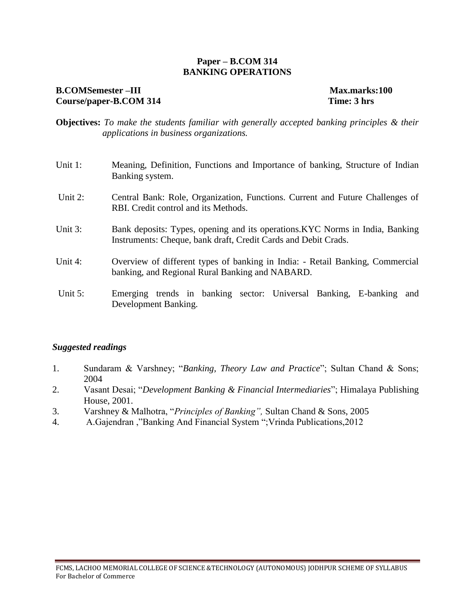#### **Paper – B.COM 314 BANKING OPERATIONS**

#### **B.COMSemester –III** Max.marks:100 **Course/paper-B.COM 314 Time: 3 hrs**

- **Objectives:** *To make the students familiar with generally accepted banking principles & their applications in business organizations.*
- Unit 1: Meaning, Definition, Functions and Importance of banking, Structure of Indian Banking system.
- Unit 2: Central Bank: Role, Organization, Functions. Current and Future Challenges of RBI. Credit control and its Methods.
- Unit 3: Bank deposits: Types, opening and its operations.KYC Norms in India, Banking Instruments: Cheque, bank draft, Credit Cards and Debit Crads.
- Unit 4: Overview of different types of banking in India: Retail Banking, Commercial banking, and Regional Rural Banking and NABARD.
- Unit 5: Emerging trends in banking sector: Universal Banking, E-banking and Development Banking.

- 1. Sundaram & Varshney; "*Banking, Theory Law and Practice*"; Sultan Chand & Sons; 2004
- 2. Vasant Desai; "*Development Banking & Financial Intermediaries*"; Himalaya Publishing House, 2001.
- 3. Varshney & Malhotra, "*Principles of Banking",* Sultan Chand & Sons, 2005
- 4. A.Gajendran ,"Banking And Financial System ";Vrinda Publications,2012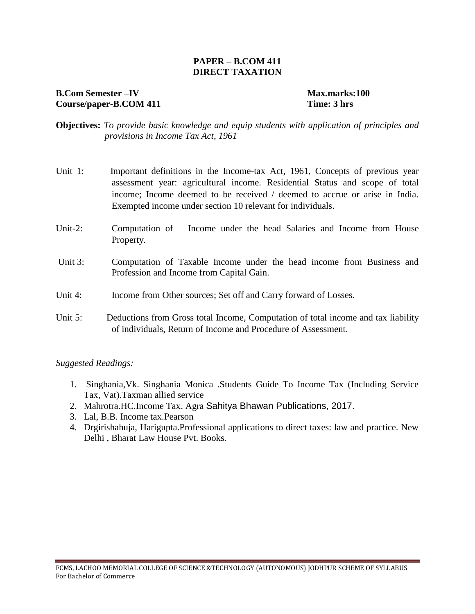#### **PAPER – B.COM 411 DIRECT TAXATION**

#### **B.Com Semester –IV Max.marks:100** Course/paper-B.COM 411 Time: 3 hrs

- **Objectives:** *To provide basic knowledge and equip students with application of principles and provisions in Income Tax Act, 1961*
- Unit 1: Important definitions in the Income-tax Act, 1961, Concepts of previous year assessment year: agricultural income. Residential Status and scope of total income; Income deemed to be received / deemed to accrue or arise in India. Exempted income under section 10 relevant for individuals.
- Unit-2: Computation of Income under the head Salaries and Income from House Property.
- Unit 3: Computation of Taxable Income under the head income from Business and Profession and Income from Capital Gain.
- Unit 4: Income from Other sources; Set off and Carry forward of Losses.
- Unit 5: Deductions from Gross total Income, Computation of total income and tax liability of individuals, Return of Income and Procedure of Assessment.

- 1. Singhania,Vk. Singhania Monica .Students Guide To Income Tax (Including Service Tax, Vat).Taxman allied service
- 2. Mahrotra.HC.Income Tax. Agra Sahitya Bhawan Publications, 2017.
- 3. Lal, B.B. Income tax.Pearson
- 4. Drgirishahuja, Harigupta.Professional applications to direct taxes: law and practice. New Delhi , Bharat Law House Pvt. Books.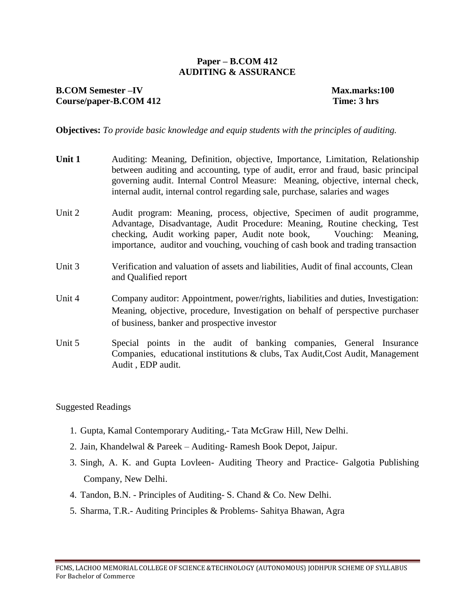#### **Paper – B.COM 412 AUDITING & ASSURANCE**

### **B.COM** Semester –IV Max.marks:100 **Course/paper-B.COM 412 Time: 3 hrs**

**Objectives:** *To provide basic knowledge and equip students with the principles of auditing.*

| Unit 1 | Auditing: Meaning, Definition, objective, Importance, Limitation, Relationship<br>between auditing and accounting, type of audit, error and fraud, basic principal<br>governing audit. Internal Control Measure: Meaning, objective, internal check,<br>internal audit, internal control regarding sale, purchase, salaries and wages |
|--------|---------------------------------------------------------------------------------------------------------------------------------------------------------------------------------------------------------------------------------------------------------------------------------------------------------------------------------------|
| Unit 2 | Audit program: Meaning, process, objective, Specimen of audit programme,<br>Advantage, Disadvantage, Audit Procedure: Meaning, Routine checking, Test<br>checking, Audit working paper, Audit note book, Vouching: Meaning,<br>importance, auditor and vouching, vouching of cash book and trading transaction                        |
| Unit 3 | Verification and valuation of assets and liabilities, Audit of final accounts, Clean<br>and Qualified report                                                                                                                                                                                                                          |
| Unit 4 | Company auditor: Appointment, power/rights, liabilities and duties, Investigation:<br>Meaning, objective, procedure, Investigation on behalf of perspective purchaser<br>of business, banker and prospective investor                                                                                                                 |
| Unit 5 | Special points in the audit of banking companies, General Insurance<br>Companies, educational institutions & clubs, Tax Audit, Cost Audit, Management<br>Audit, EDP audit.                                                                                                                                                            |

- 1. Gupta, Kamal Contemporary Auditing,- Tata McGraw Hill, New Delhi.
- 2. Jain, Khandelwal & Pareek Auditing- Ramesh Book Depot, Jaipur.
- 3. Singh, A. K. and Gupta Lovleen- Auditing Theory and Practice- Galgotia Publishing Company, New Delhi.
- 4. Tandon, B.N. Principles of Auditing- S. Chand & Co. New Delhi.
- 5. Sharma, T.R.- Auditing Principles & Problems- Sahitya Bhawan, Agra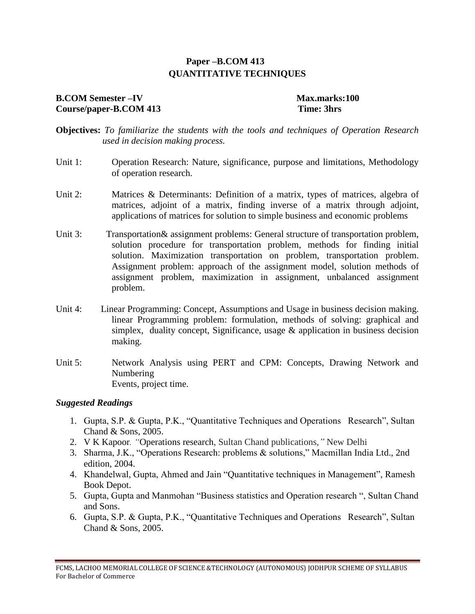### **Paper –B.COM 413 QUANTITATIVE TECHNIQUES**

### **B.COM Semester –IV Max.marks:100 Course/paper-B.COM 413 Time: 3hrs**

**Objectives:** *To familiarize the students with the tools and techniques of Operation Research used in decision making process.*

- Unit 1: Operation Research: Nature, significance, purpose and limitations, Methodology of operation research.
- Unit 2: Matrices & Determinants: Definition of a matrix, types of matrices, algebra of matrices, adjoint of a matrix, finding inverse of a matrix through adjoint, applications of matrices for solution to simple business and economic problems
- Unit 3: Transportation & assignment problems: General structure of transportation problem, solution procedure for transportation problem, methods for finding initial solution. Maximization transportation on problem, transportation problem. Assignment problem: approach of the assignment model, solution methods of assignment problem, maximization in assignment, unbalanced assignment problem.
- Unit 4: Linear Programming: Concept, Assumptions and Usage in business decision making. linear Programming problem: formulation, methods of solving: graphical and simplex, duality concept, Significance, usage  $\&$  application in business decision making.
- Unit 5: Network Analysis using PERT and CPM: Concepts, Drawing Network and Numbering Events, project time.

- 1. Gupta, S.P. & Gupta, P.K., "Quantitative Techniques and Operations Research", Sultan Chand & Sons, 2005.
- 2. V K Kapoor*. "*Operations research, Sultan Chand publications,*"* New Delhi
- 3. Sharma, J.K., "Operations Research: problems & solutions," Macmillan India Ltd., 2nd edition, 2004.
- 4. Khandelwal, Gupta, Ahmed and Jain "Quantitative techniques in Management", Ramesh Book Depot.
- 5. Gupta, Gupta and Manmohan "Business statistics and Operation research ", Sultan Chand and Sons.
- 6. Gupta, S.P. & Gupta, P.K., "Quantitative Techniques and Operations Research", Sultan Chand & Sons, 2005.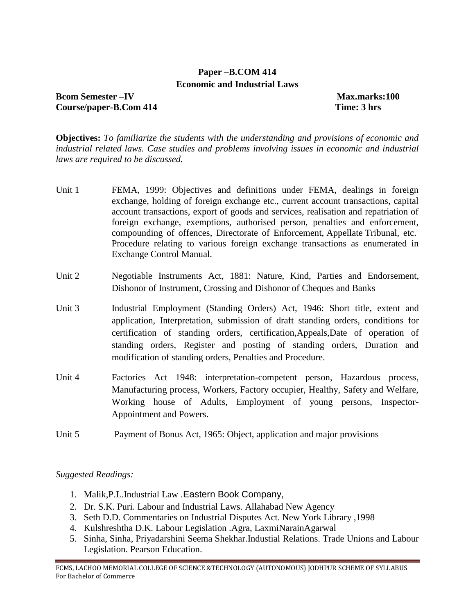### **Paper –B.COM 414 Economic and Industrial Laws**

**Bcom Semester –IV Max.marks:100 Course/paper-B.Com 414 Time: 3 hrs**

**Objectives:** *To familiarize the students with the understanding and provisions of economic and industrial related laws. Case studies and problems involving issues in economic and industrial laws are required to be discussed.*

- Unit 1 FEMA, 1999: Objectives and definitions under FEMA, dealings in foreign exchange, holding of foreign exchange etc., current account transactions, capital account transactions, export of goods and services, realisation and repatriation of foreign exchange, exemptions, authorised person, penalties and enforcement, compounding of offences, Directorate of Enforcement, Appellate Tribunal, etc. Procedure relating to various foreign exchange transactions as enumerated in Exchange Control Manual.
- Unit 2 Negotiable Instruments Act, 1881: Nature, Kind, Parties and Endorsement, Dishonor of Instrument, Crossing and Dishonor of Cheques and Banks
- Unit 3 Industrial Employment (Standing Orders) Act, 1946: Short title, extent and application, Interpretation, submission of draft standing orders, conditions for certification of standing orders, certification,Appeals,Date of operation of standing orders, Register and posting of standing orders, Duration and modification of standing orders, Penalties and Procedure.
- Unit 4 Factories Act 1948: interpretation-competent person, Hazardous process, Manufacturing process, Workers, Factory occupier, Healthy, Safety and Welfare, Working house of Adults, Employment of young persons, Inspector-Appointment and Powers.
- Unit 5 Payment of Bonus Act, 1965: Object, application and major provisions

- 1. Malik,P.L.Industrial Law .Eastern Book Company,
- 2. Dr. S.K. Puri. Labour and Industrial Laws. Allahabad New Agency
- 3. Seth D.D. Commentaries on Industrial Disputes Act. New York Library ,1998
- 4. Kulshreshtha D.K. Labour Legislation .Agra, LaxmiNarainAgarwal
- 5. Sinha, Sinha, Priyadarshini Seema Shekhar.Industial Relations. Trade Unions and Labour Legislation. Pearson Education.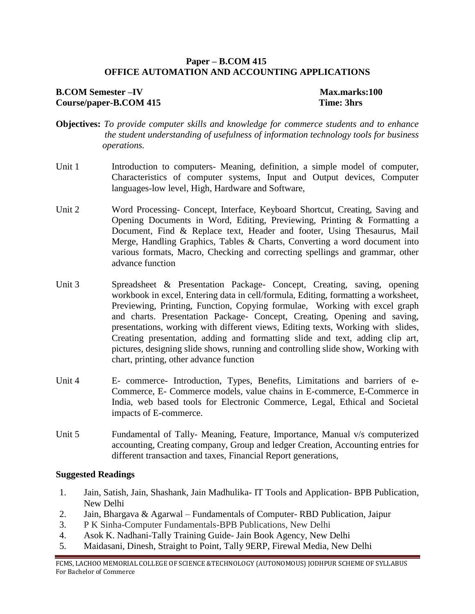#### **Paper – B.COM 415 OFFICE AUTOMATION AND ACCOUNTING APPLICATIONS**

#### **B.COM** Semester –IV Max.marks:100 **Course/paper-B.COM 415 Time: 3hrs**

- **Objectives:** *To provide computer skills and knowledge for commerce students and to enhance the student understanding of usefulness of information technology tools for business operations.*
- Unit 1 Introduction to computers- Meaning, definition, a simple model of computer, Characteristics of computer systems, Input and Output devices, Computer languages-low level, High, Hardware and Software,
- Unit 2 Word Processing- Concept, Interface, Keyboard Shortcut, Creating, Saving and Opening Documents in Word, Editing, Previewing, Printing & Formatting a Document, Find & Replace text, Header and footer, Using Thesaurus, Mail Merge, Handling Graphics, Tables & Charts, Converting a word document into various formats, Macro, Checking and correcting spellings and grammar, other advance function
- Unit 3 Spreadsheet & Presentation Package- Concept, Creating, saving, opening workbook in excel, Entering data in cell/formula, Editing, formatting a worksheet, Previewing, Printing, Function, Copying formulae, Working with excel graph and charts. Presentation Package- Concept, Creating, Opening and saving, presentations, working with different views, Editing texts, Working with slides, Creating presentation, adding and formatting slide and text, adding clip art, pictures, designing slide shows, running and controlling slide show, Working with chart, printing, other advance function
- Unit 4 E- commerce- Introduction, Types, Benefits, Limitations and barriers of e-Commerce, E- Commerce models, value chains in E-commerce, E-Commerce in India, web based tools for Electronic Commerce, Legal, Ethical and Societal impacts of E-commerce.
- Unit 5 Fundamental of Tally-Meaning, Feature, Importance, Manual v/s computerized accounting, Creating company, Group and ledger Creation, Accounting entries for different transaction and taxes, Financial Report generations,

#### **Suggested Readings**

- 1. Jain, Satish, Jain, Shashank, Jain Madhulika- IT Tools and Application- BPB Publication, New Delhi
- 2. Jain, Bhargava & Agarwal Fundamentals of Computer- RBD Publication, Jaipur
- 3. P K Sinha-Computer Fundamentals-BPB Publications, New Delhi
- 4. Asok K. Nadhani-Tally Training Guide- Jain Book Agency, New Delhi
- 5. Maidasani, Dinesh, Straight to Point, Tally 9ERP, Firewal Media, New Delhi

FCMS, LACHOO MEMORIAL COLLEGE OF SCIENCE &TECHNOLOGY (AUTONOMOUS) JODHPUR SCHEME OF SYLLABUS For Bachelor of Commerce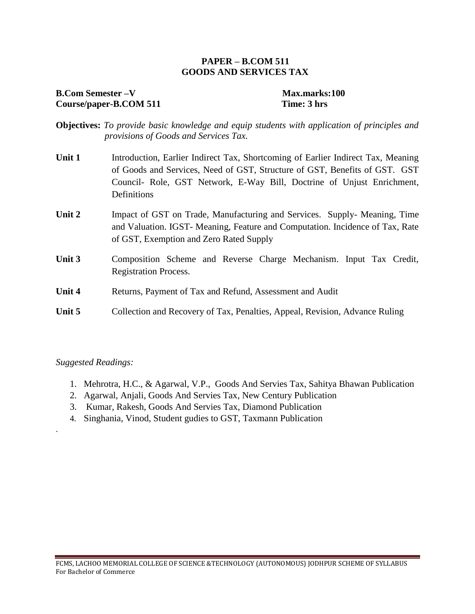#### **PAPER – B.COM 511 GOODS AND SERVICES TAX**

#### **B.Com Semester –V Max.marks:100** Course/paper-B.COM 511 Time: 3 hrs

- **Objectives:** *To provide basic knowledge and equip students with application of principles and provisions of Goods and Services Tax.*
- **Unit 1** Introduction, Earlier Indirect Tax, Shortcoming of Earlier Indirect Tax, Meaning of Goods and Services, Need of GST, Structure of GST, Benefits of GST. GST Council- Role, GST Network, E-Way Bill, Doctrine of Unjust Enrichment, Definitions
- **Unit 2** Impact of GST on Trade, Manufacturing and Services. Supply- Meaning, Time and Valuation. IGST- Meaning, Feature and Computation. Incidence of Tax, Rate of GST, Exemption and Zero Rated Supply
- **Unit 3** Composition Scheme and Reverse Charge Mechanism. Input Tax Credit, Registration Process.
- **Unit 4** Returns, Payment of Tax and Refund, Assessment and Audit
- **Unit 5** Collection and Recovery of Tax, Penalties, Appeal, Revision, Advance Ruling

#### *Suggested Readings:*

.

- 1. Mehrotra, H.C., & Agarwal, V.P., Goods And Servies Tax, Sahitya Bhawan Publication
- 2. Agarwal, Anjali, Goods And Servies Tax, New Century Publication
- 3. Kumar, Rakesh, Goods And Servies Tax, Diamond Publication
- 4. Singhania, Vinod, Student gudies to GST, Taxmann Publication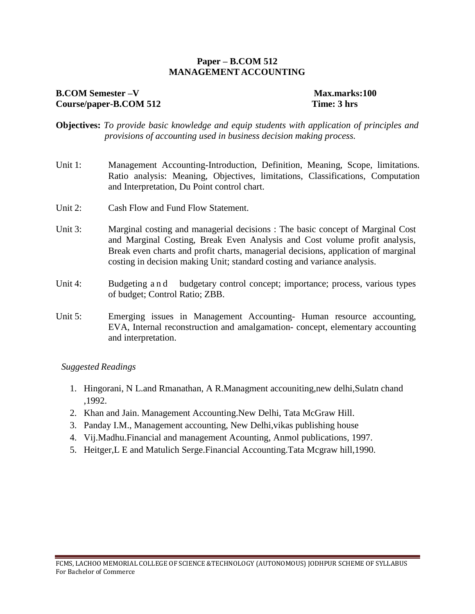#### **Paper – B.COM 512 MANAGEMENT ACCOUNTING**

#### **B.COM** Semester –V Max.marks:100 **Course/paper-B.COM 512 Time: 3 hrs**

- **Objectives:** *To provide basic knowledge and equip students with application of principles and provisions of accounting used in business decision making process.*
- Unit 1: Management Accounting-Introduction, Definition, Meaning, Scope, limitations. Ratio analysis: Meaning, Objectives, limitations, Classifications, Computation and Interpretation, Du Point control chart.
- Unit 2: Cash Flow and Fund Flow Statement.
- Unit 3: Marginal costing and managerial decisions : The basic concept of Marginal Cost and Marginal Costing, Break Even Analysis and Cost volume profit analysis, Break even charts and profit charts, managerial decisions, application of marginal costing in decision making Unit; standard costing and variance analysis.
- Unit 4: Budgeting a n d budgetary control concept; importance; process, various types of budget; Control Ratio; ZBB.
- Unit 5: Emerging issues in Management Accounting- Human resource accounting, EVA, Internal reconstruction and amalgamation- concept, elementary accounting and interpretation.

- 1. Hingorani, N L.and Rmanathan, A R.Managment accouniting,new delhi,Sulatn chand ,1992.
- 2. Khan and Jain. Management Accounting.New Delhi, Tata McGraw Hill.
- 3. Panday I.M., Management accounting, New Delhi,vikas publishing house
- 4. Vij.Madhu.Financial and management Acounting, Anmol publications, 1997.
- 5. Heitger,L E and Matulich Serge.Financial Accounting.Tata Mcgraw hill,1990.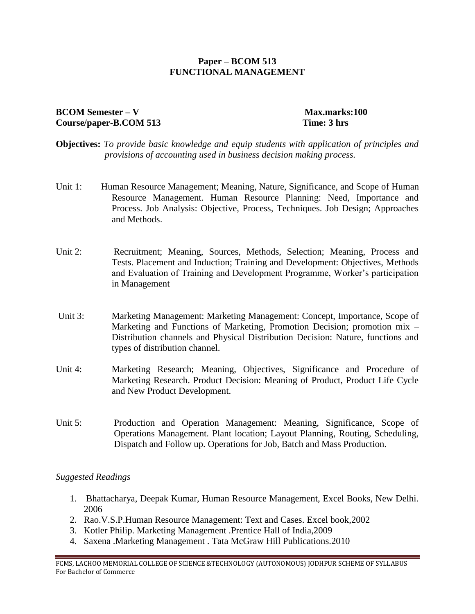#### **Paper – BCOM 513 FUNCTIONAL MANAGEMENT**

#### **BCOM Semester – V** Max.marks:100 **Course/paper-B.COM 513 Time: 3 hrs**

- **Objectives:** *To provide basic knowledge and equip students with application of principles and provisions of accounting used in business decision making process.*
- Unit 1: Human Resource Management; Meaning, Nature, Significance, and Scope of Human Resource Management. Human Resource Planning: Need, Importance and Process. Job Analysis: Objective, Process, Techniques. Job Design; Approaches and Methods.
- Unit 2: Recruitment; Meaning, Sources, Methods, Selection; Meaning, Process and Tests. Placement and Induction; Training and Development: Objectives, Methods and Evaluation of Training and Development Programme, Worker's participation in Management
- Unit 3: Marketing Management: Marketing Management: Concept, Importance, Scope of Marketing and Functions of Marketing, Promotion Decision; promotion mix – Distribution channels and Physical Distribution Decision: Nature, functions and types of distribution channel.
- Unit 4: Marketing Research; Meaning, Objectives, Significance and Procedure of Marketing Research. Product Decision: Meaning of Product, Product Life Cycle and New Product Development.
- Unit 5: Production and Operation Management: Meaning, Significance, Scope of Operations Management. Plant location; Layout Planning, Routing, Scheduling, Dispatch and Follow up. Operations for Job, Batch and Mass Production.

#### *Suggested Readings*

- 1. Bhattacharya, Deepak Kumar, Human Resource Management, Excel Books, New Delhi. 2006
- 2. Rao.V.S.P.Human Resource Management: Text and Cases. Excel book,2002
- 3. Kotler Philip. Marketing Management .Prentice Hall of India,2009
- 4. Saxena .Marketing Management . Tata McGraw Hill Publications.2010

FCMS, LACHOO MEMORIAL COLLEGE OF SCIENCE &TECHNOLOGY (AUTONOMOUS) JODHPUR SCHEME OF SYLLABUS For Bachelor of Commerce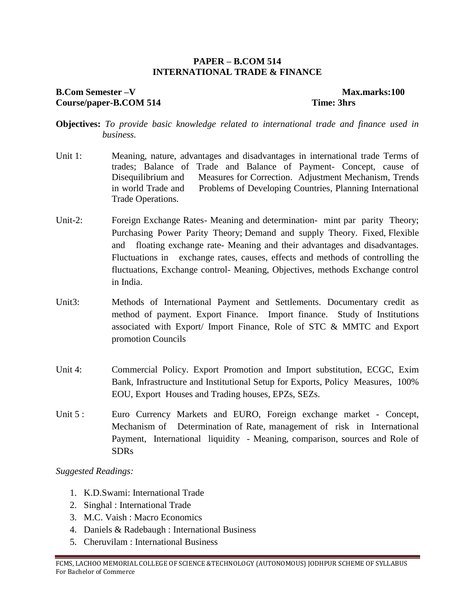#### **PAPER – B.COM 514 INTERNATIONAL TRADE & FINANCE**

#### **B.Com Semester –V Max.marks:100 Course/paper-B.COM 514 Time: 3hrs**

- **Objectives:** *To provide basic knowledge related to international trade and finance used in business.*
- Unit 1: Meaning, nature, advantages and disadvantages in international trade Terms of trades; Balance of Trade and Balance of Payment- Concept, cause of Disequilibrium and Measures for Correction. Adjustment Mechanism, Trends in world Trade and Problems of Developing Countries, Planning International Trade Operations.
- Unit-2: Foreign Exchange Rates-Meaning and determination- mint par parity Theory; Purchasing Power Parity Theory; Demand and supply Theory. Fixed, Flexible and floating exchange rate- Meaning and their advantages and disadvantages. Fluctuations in exchange rates, causes, effects and methods of controlling the fluctuations, Exchange control- Meaning, Objectives, methods Exchange control in India.
- Unit3: Methods of International Payment and Settlements. Documentary credit as method of payment. Export Finance. Import finance. Study of Institutions associated with Export/ Import Finance, Role of STC & MMTC and Export promotion Councils
- Unit 4: Commercial Policy. Export Promotion and Import substitution, ECGC, Exim Bank, Infrastructure and Institutional Setup for Exports, Policy Measures, 100% EOU, Export Houses and Trading houses, EPZs, SEZs.
- Unit 5 : Euro Currency Markets and EURO, Foreign exchange market Concept, Mechanism of Determination of Rate, management of risk in International Payment, International liquidity - Meaning, comparison, sources and Role of SDRs

- 1. K.D.Swami: International Trade
- 2. Singhal : International Trade
- 3. M.C. Vaish : Macro Economics
- 4. Daniels & Radebaugh : International Business
- 5. Cheruvilam : International Business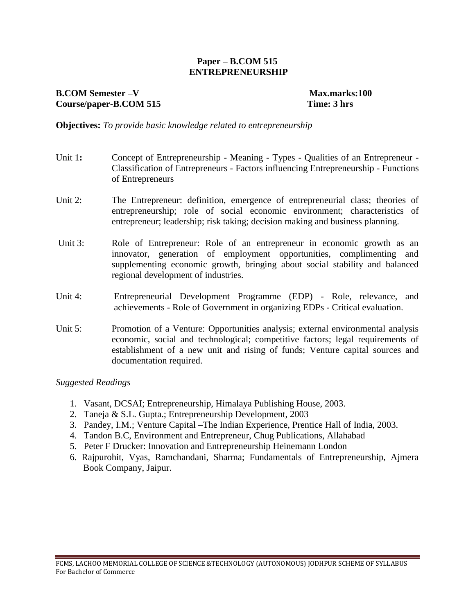#### **Paper – B.COM 515 ENTREPRENEURSHIP**

### **B.COM Semester –V Max.marks:100 Course/paper-B.COM 515 Time: 3 hrs**

**Objectives:** *To provide basic knowledge related to entrepreneurship*

- Unit 1: Concept of Entrepreneurship Meaning Types Qualities of an Entrepreneur -Classification of Entrepreneurs - Factors influencing Entrepreneurship - Functions of Entrepreneurs
- Unit 2: The Entrepreneur: definition, emergence of entrepreneurial class; theories of entrepreneurship; role of social economic environment; characteristics of entrepreneur; leadership; risk taking; decision making and business planning.
- Unit 3: Role of Entrepreneur: Role of an entrepreneur in economic growth as an innovator, generation of employment opportunities, complimenting and supplementing economic growth, bringing about social stability and balanced regional development of industries.
- Unit 4: Entrepreneurial Development Programme (EDP) Role, relevance, and achievements - Role of Government in organizing EDPs - Critical evaluation.
- Unit 5: Promotion of a Venture: Opportunities analysis; external environmental analysis economic, social and technological; competitive factors; legal requirements of establishment of a new unit and rising of funds; Venture capital sources and documentation required.

- 1. Vasant, DCSAI; Entrepreneurship, Himalaya Publishing House, 2003.
- 2. Taneja & S.L. Gupta.; Entrepreneurship Development, 2003
- 3. Pandey, I.M.; Venture Capital –The Indian Experience, Prentice Hall of India, 2003.
- 4. Tandon B.C, Environment and Entrepreneur, Chug Publications, Allahabad
- 5. Peter F Drucker: Innovation and Entrepreneurship Heinemann London
- 6. Rajpurohit, Vyas, Ramchandani, Sharma; Fundamentals of Entrepreneurship, Ajmera Book Company, Jaipur.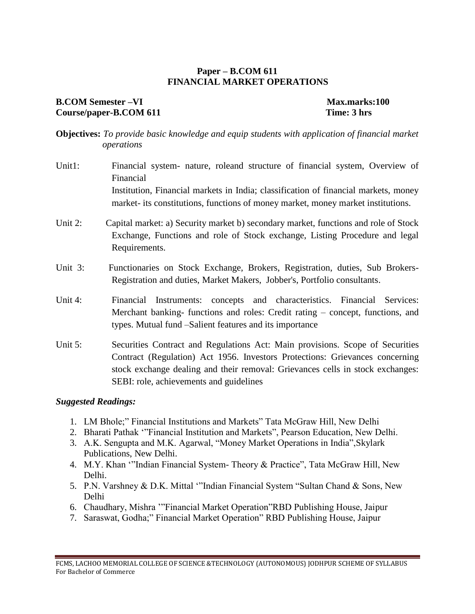#### **Paper – B.COM 611 FINANCIAL MARKET OPERATIONS**

#### **B.COM** Semester –VI Max.marks:100 **Course/paper-B.COM 611 Time: 3 hrs**

**Objectives:** *To provide basic knowledge and equip students with application of financial market operations*

- Unit1: Financial system- nature, roleand structure of financial system, Overview of Financial Institution, Financial markets in India; classification of financial markets, money market- its constitutions, functions of money market, money market institutions.
- Unit 2: Capital market: a) Security market b) secondary market, functions and role of Stock Exchange, Functions and role of Stock exchange, Listing Procedure and legal Requirements.
- Unit 3: Functionaries on Stock Exchange, Brokers, Registration, duties, Sub Brokers-Registration and duties, Market Makers, Jobber's, Portfolio consultants.
- Unit 4: Financial Instruments: concepts and characteristics. Financial Services: Merchant banking- functions and roles: Credit rating – concept, functions, and types. Mutual fund –Salient features and its importance
- Unit 5: Securities Contract and Regulations Act: Main provisions. Scope of Securities Contract (Regulation) Act 1956. Investors Protections: Grievances concerning stock exchange dealing and their removal: Grievances cells in stock exchanges: SEBI: role, achievements and guidelines

- 1. LM Bhole;" Financial Institutions and Markets" Tata McGraw Hill, New Delhi
- 2. Bharati Pathak '"Financial Institution and Markets", Pearson Education, New Delhi.
- 3. A.K. Sengupta and M.K. Agarwal, "Money Market Operations in India",Skylark Publications, New Delhi.
- 4. M.Y. Khan '"Indian Financial System- Theory & Practice", Tata McGraw Hill, New Delhi.
- 5. P.N. Varshney & D.K. Mittal '"Indian Financial System "Sultan Chand & Sons, New Delhi
- 6. Chaudhary, Mishra '"Financial Market Operation"RBD Publishing House, Jaipur
- 7. Saraswat, Godha;" Financial Market Operation" RBD Publishing House, Jaipur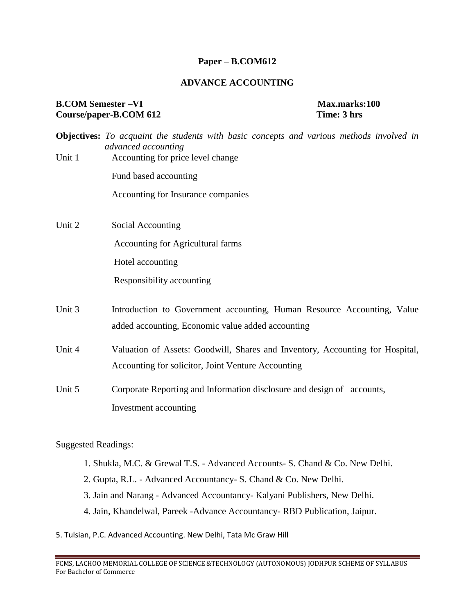#### **Paper – B.COM612**

#### **ADVANCE ACCOUNTING**

#### **B.COM** Semester –VI Max.marks:100 **Course/paper-B.COM 612 Time: 3 hrs**

|        | <b>Objectives:</b> To acquaint the students with basic concepts and various methods involved in<br>advanced accounting |  |  |  |  |  |
|--------|------------------------------------------------------------------------------------------------------------------------|--|--|--|--|--|
| Unit 1 | Accounting for price level change                                                                                      |  |  |  |  |  |
|        | Fund based accounting                                                                                                  |  |  |  |  |  |
|        | Accounting for Insurance companies                                                                                     |  |  |  |  |  |
| Unit 2 | Social Accounting                                                                                                      |  |  |  |  |  |
|        | Accounting for Agricultural farms                                                                                      |  |  |  |  |  |
|        | Hotel accounting                                                                                                       |  |  |  |  |  |
|        | Responsibility accounting                                                                                              |  |  |  |  |  |
| Unit 3 | Introduction to Government accounting, Human Resource Accounting, Value                                                |  |  |  |  |  |
|        | added accounting, Economic value added accounting                                                                      |  |  |  |  |  |
| Unit 4 | Valuation of Assets: Goodwill, Shares and Inventory, Accounting for Hospital,                                          |  |  |  |  |  |
|        | Accounting for solicitor, Joint Venture Accounting                                                                     |  |  |  |  |  |
| Unit 5 | Corporate Reporting and Information disclosure and design of accounts,                                                 |  |  |  |  |  |
|        | Investment accounting                                                                                                  |  |  |  |  |  |
|        |                                                                                                                        |  |  |  |  |  |

- 1. Shukla, M.C. & Grewal T.S. Advanced Accounts- S. Chand & Co. New Delhi.
- 2. Gupta, R.L. Advanced Accountancy- S. Chand & Co. New Delhi.
- 3. Jain and Narang Advanced Accountancy- Kalyani Publishers, New Delhi.
- 4. Jain, Khandelwal, Pareek -Advance Accountancy- RBD Publication, Jaipur.
- 5. Tulsian, P.C. Advanced Accounting. New Delhi, Tata Mc Graw Hill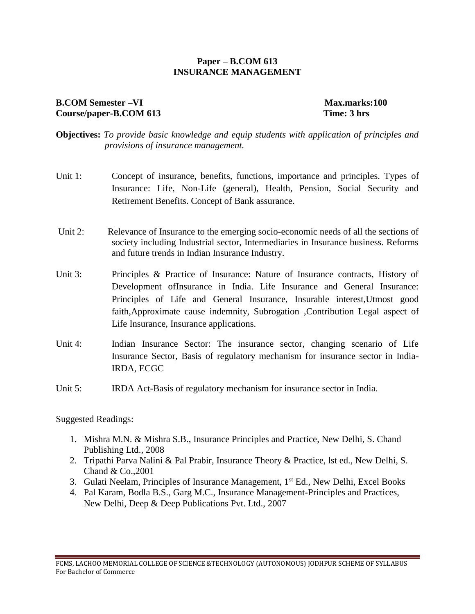#### **Paper – B.COM 613 INSURANCE MANAGEMENT**

#### **B.COM** Semester –VI Max.marks:100 **Course/paper-B.COM 613 Time: 3 hrs**

- **Objectives:** *To provide basic knowledge and equip students with application of principles and provisions of insurance management.*
- Unit 1: Concept of insurance, benefits, functions, importance and principles. Types of Insurance: Life, Non-Life (general), Health, Pension, Social Security and Retirement Benefits. Concept of Bank assurance.
- Unit 2: Relevance of Insurance to the emerging socio-economic needs of all the sections of society including Industrial sector, Intermediaries in Insurance business. Reforms and future trends in Indian Insurance Industry.
- Unit 3: Principles & Practice of Insurance: Nature of Insurance contracts, History of Development ofInsurance in India. Life Insurance and General Insurance: Principles of Life and General Insurance, Insurable interest,Utmost good faith,Approximate cause indemnity, Subrogation ,Contribution Legal aspect of Life Insurance, Insurance applications.
- Unit 4: Indian Insurance Sector: The insurance sector, changing scenario of Life Insurance Sector, Basis of regulatory mechanism for insurance sector in India-IRDA, ECGC
- Unit 5: IRDA Act-Basis of regulatory mechanism for insurance sector in India.

- 1. Mishra M.N. & Mishra S.B., Insurance Principles and Practice, New Delhi, S. Chand Publishing Ltd., 2008
- 2. Tripathi Parva Nalini & Pal Prabir, Insurance Theory & Practice, lst ed., New Delhi, S. Chand & Co.,2001
- 3. Gulati Neelam, Principles of Insurance Management, 1<sup>st</sup> Ed., New Delhi, Excel Books
- 4. Pal Karam, Bodla B.S., Garg M.C., Insurance Management-Principles and Practices, New Delhi, Deep & Deep Publications Pvt. Ltd., 2007